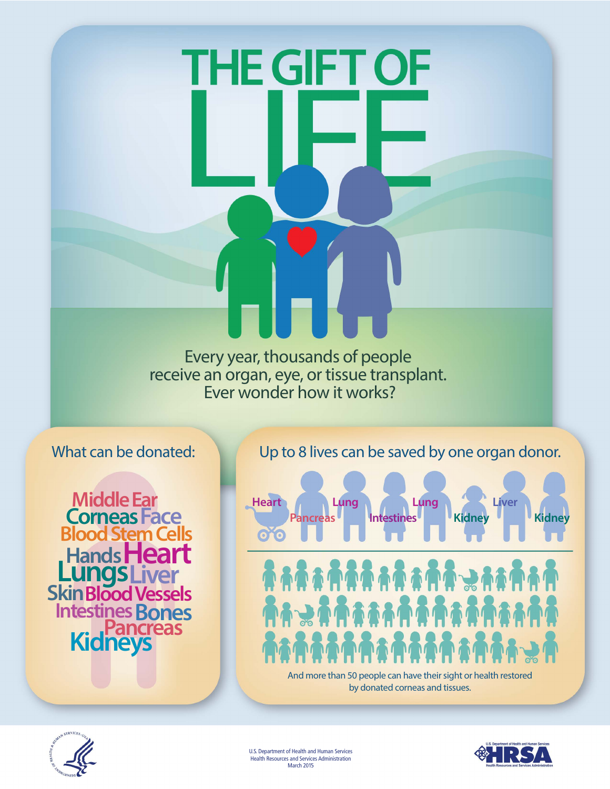Every year, thousands of people receive an organ, eye, or tissue transplant. Ever wonder how it works?

**THE GIFT OF** 

THE GIFT OF

What can be donated:

**Middle Ear CorneasFace Blood Stem Ce Hands He<br>LungsLiver**<br>Skin Blood Ve **SkinBlood Vessels Intestines Bones<br>Pancreas<br>Kidneys**  Up to 8 lives can be saved by one organ donor.



U.S. Department of Health and Human Services Health Resources and Services Administration March 2015